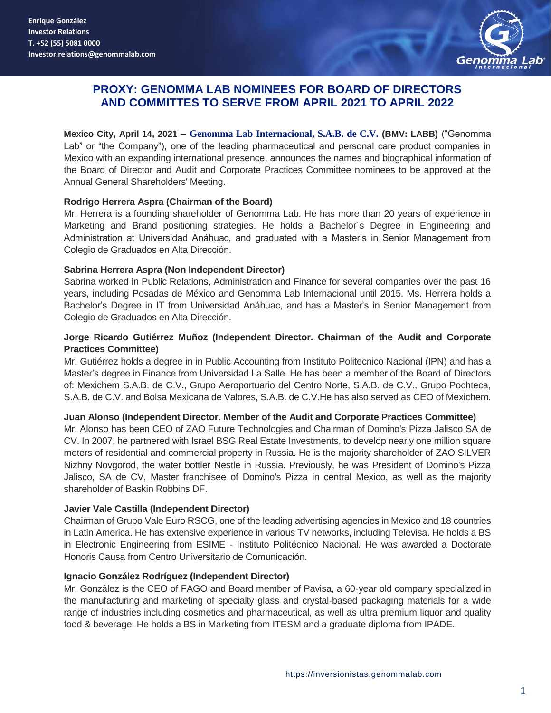

# **PROXY: GENOMMA LAB NOMINEES FOR BOARD OF DIRECTORS AND COMMITTES TO SERVE FROM APRIL 2021 TO APRIL 2022**

**Mexico City, April 14, 2021** – **Genomma Lab Internacional, S.A.B. de C.V. (BMV: LABB)** ("Genomma Lab" or "the Company"), one of the leading pharmaceutical and personal care product companies in Mexico with an expanding international presence, announces the names and biographical information of the Board of Director and Audit and Corporate Practices Committee nominees to be approved at the Annual General Shareholders' Meeting.

### **Rodrigo Herrera Aspra (Chairman of the Board)**

Mr. Herrera is a founding shareholder of Genomma Lab. He has more than 20 years of experience in Marketing and Brand positioning strategies. He holds a Bachelor´s Degree in Engineering and Administration at Universidad Anáhuac, and graduated with a Master's in Senior Management from Colegio de Graduados en Alta Dirección.

### **Sabrina Herrera Aspra (Non Independent Director)**

Sabrina worked in Public Relations, Administration and Finance for several companies over the past 16 years, including Posadas de México and Genomma Lab Internacional until 2015. Ms. Herrera holds a Bachelor's Degree in IT from Universidad Anáhuac, and has a Master's in Senior Management from Colegio de Graduados en Alta Dirección.

### **Jorge Ricardo Gutiérrez Muñoz (Independent Director. Chairman of the Audit and Corporate Practices Committee)**

Mr. Gutiérrez holds a degree in in Public Accounting from Instituto Politecnico Nacional (IPN) and has a Master's degree in Finance from Universidad La Salle. He has been a member of the Board of Directors of: Mexichem S.A.B. de C.V., Grupo Aeroportuario del Centro Norte, S.A.B. de C.V., Grupo Pochteca, S.A.B. de C.V. and Bolsa Mexicana de Valores, S.A.B. de C.V.He has also served as CEO of Mexichem.

#### **Juan Alonso (Independent Director. Member of the Audit and Corporate Practices Committee)**

Mr. Alonso has been CEO of ZAO Future Technologies and Chairman of Domino's Pizza Jalisco SA de CV. In 2007, he partnered with Israel BSG Real Estate Investments, to develop nearly one million square meters of residential and commercial property in Russia. He is the majority shareholder of ZAO SILVER Nizhny Novgorod, the water bottler Nestle in Russia. Previously, he was President of Domino's Pizza Jalisco, SA de CV, Master franchisee of Domino's Pizza in central Mexico, as well as the majority shareholder of Baskin Robbins DF.

## **Javier Vale Castilla (Independent Director)**

Chairman of Grupo Vale Euro RSCG, one of the leading advertising agencies in Mexico and 18 countries in Latin America. He has extensive experience in various TV networks, including Televisa. He holds a BS in Electronic Engineering from ESIME - Instituto Politécnico Nacional. He was awarded a Doctorate Honoris Causa from Centro Universitario de Comunicación.

## **Ignacio González Rodríguez (Independent Director)**

Mr. González is the CEO of FAGO and Board member of Pavisa, a 60-year old company specialized in the manufacturing and marketing of specialty glass and crystal-based packaging materials for a wide range of industries including cosmetics and pharmaceutical, as well as ultra premium liquor and quality food & beverage. He holds a BS in Marketing from ITESM and a graduate diploma from IPADE.